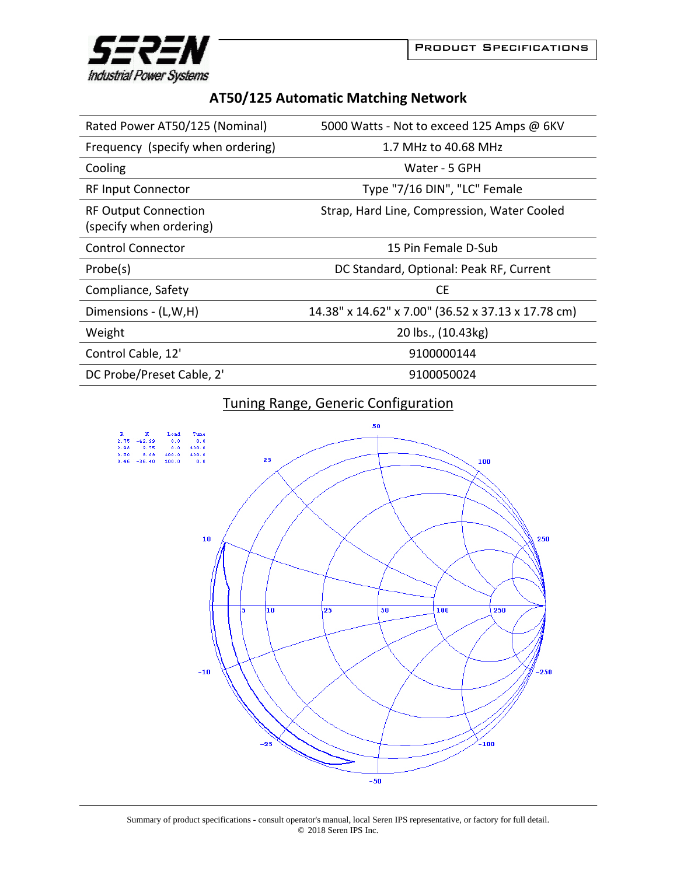



## **AT50/125 Automatic Matching Network**

| Rated Power AT50/125 (Nominal)                         | 5000 Watts - Not to exceed 125 Amps @ 6KV          |
|--------------------------------------------------------|----------------------------------------------------|
| Frequency (specify when ordering)                      | 1.7 MHz to 40.68 MHz                               |
| Cooling                                                | Water - 5 GPH                                      |
| <b>RF Input Connector</b>                              | Type "7/16 DIN", "LC" Female                       |
| <b>RF Output Connection</b><br>(specify when ordering) | Strap, Hard Line, Compression, Water Cooled        |
| <b>Control Connector</b>                               | 15 Pin Female D-Sub                                |
| Probe(s)                                               | DC Standard, Optional: Peak RF, Current            |
| Compliance, Safety                                     | <b>CE</b>                                          |
| Dimensions - (L,W,H)                                   | 14.38" x 14.62" x 7.00" (36.52 x 37.13 x 17.78 cm) |
| Weight                                                 | 20 lbs., (10.43kg)                                 |
| Control Cable, 12'                                     | 9100000144                                         |
| DC Probe/Preset Cable, 2'                              | 9100050024                                         |

## Tuning Range, Generic Configuration